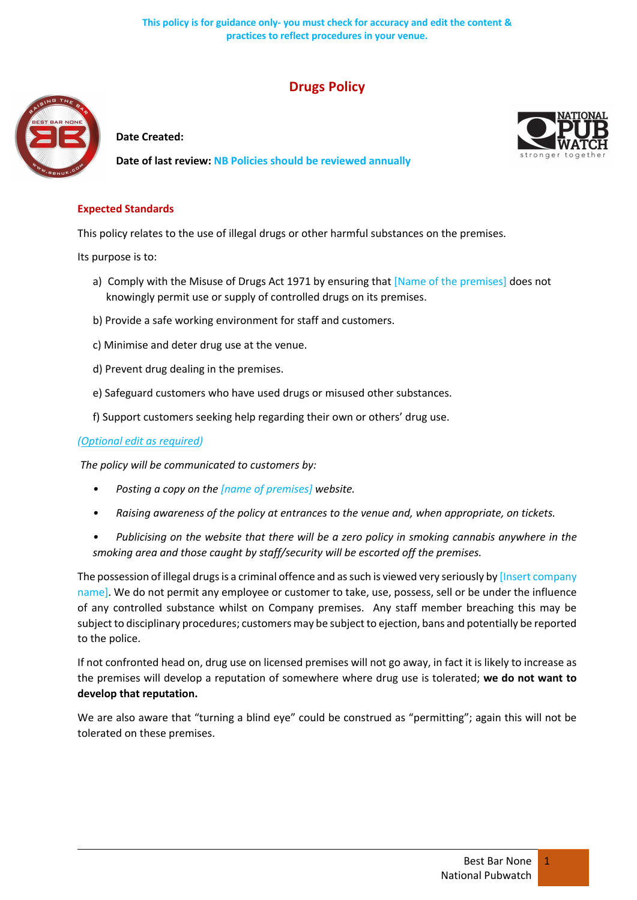# **Drugs Policy**



**Date Created:**

**Date of last review: NB Policies should be reviewed annually**



## **Expected Standards**

This policy relates to the use of illegal drugs or other harmful substances on the premises.

Its purpose is to:

- a) Comply with the Misuse of Drugs Act 1971 by ensuring that [Name of the premises] does not knowingly permit use or supply of controlled drugs on its premises.
- b) Provide a safe working environment for staff and customers.
- c) Minimise and deter drug use at the venue.
- d) Prevent drug dealing in the premises.
- e) Safeguard customers who have used drugs or misused other substances.
- f) Support customers seeking help regarding their own or others' drug use.

## *(Optional edit as required)*

*The policy will be communicated to customers by:*

- *• Posting a copy on the [name of premises] website.*
- *• Raising awareness of the policy at entrances to the venue and, when appropriate, on tickets.*
- *• Publicising on the website that there will be a zero policy in smoking cannabis anywhere in the smoking area and those caught by staff/security will be escorted off the premises.*

The possession of illegal drugs is a criminal offence and as such is viewed very seriously by [Insert company name]. We do not permit any employee or customer to take, use, possess, sell or be under the influence of any controlled substance whilst on Company premises. Any staff member breaching this may be subject to disciplinary procedures; customers may be subject to ejection, bans and potentially be reported to the police.

If not confronted head on, drug use on licensed premises will not go away, in fact it is likely to increase as the premises will develop a reputation of somewhere where drug use is tolerated; **we do not want to develop that reputation.**

We are also aware that "turning a blind eye" could be construed as "permitting"; again this will not be tolerated on these premises.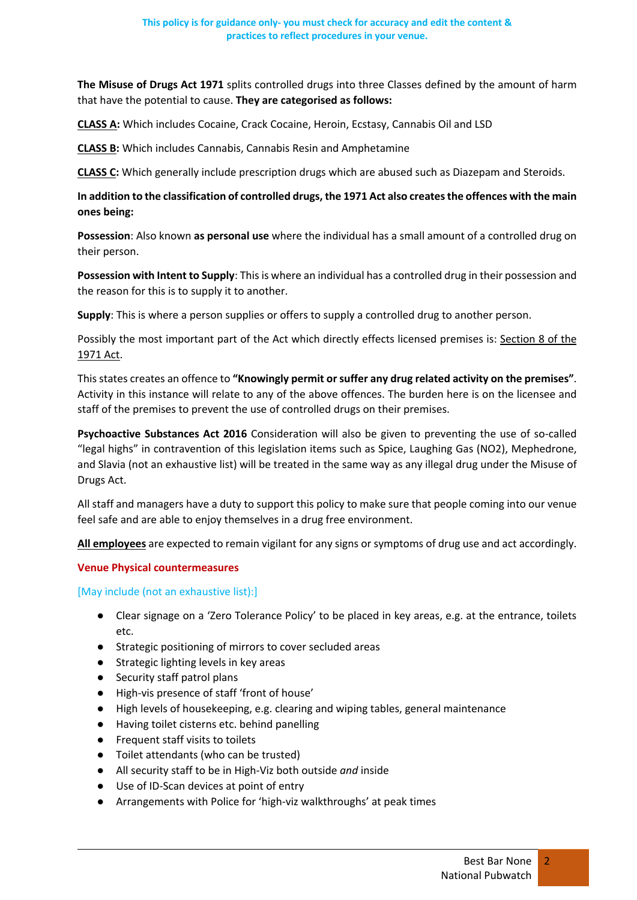**The Misuse of Drugs Act 1971** splits controlled drugs into three Classes defined by the amount of harm that have the potential to cause. **They are categorised as follows:**

**CLASS A:** Which includes Cocaine, Crack Cocaine, Heroin, Ecstasy, Cannabis Oil and LSD

**CLASS B:** Which includes Cannabis, Cannabis Resin and Amphetamine

**CLASS C:** Which generally include prescription drugs which are abused such as Diazepam and Steroids.

# **In addition to the classification of controlled drugs, the 1971 Act also creates the offences with the main ones being:**

**Possession**: Also known **as personal use** where the individual has a small amount of a controlled drug on their person.

**Possession with Intent to Supply**: This is where an individual has a controlled drug in their possession and the reason for this is to supply it to another.

**Supply**: This is where a person supplies or offers to supply a controlled drug to another person.

Possibly the most important part of the Act which directly effects licensed premises is: Section 8 of the 1971 Act.

This states creates an offence to **"Knowingly permit or suffer any drug related activity on the premises"**. Activity in this instance will relate to any of the above offences. The burden here is on the licensee and staff of the premises to prevent the use of controlled drugs on their premises.

**Psychoactive Substances Act 2016** Consideration will also be given to preventing the use of so-called "legal highs" in contravention of this legislation items such as Spice, Laughing Gas (NO2), Mephedrone, and Slavia (not an exhaustive list) will be treated in the same way as any illegal drug under the Misuse of Drugs Act.

All staff and managers have a duty to support this policy to make sure that people coming into our venue feel safe and are able to enjoy themselves in a drug free environment.

**All employees** are expected to remain vigilant for any signs or symptoms of drug use and act accordingly.

### **Venue Physical countermeasures**

### [May include (not an exhaustive list):]

- Clear signage on a 'Zero Tolerance Policy' to be placed in key areas, e.g. at the entrance, toilets etc.
- Strategic positioning of mirrors to cover secluded areas
- Strategic lighting levels in key areas
- Security staff patrol plans
- High-vis presence of staff 'front of house'
- High levels of housekeeping, e.g. clearing and wiping tables, general maintenance
- Having toilet cisterns etc. behind panelling
- Frequent staff visits to toilets
- Toilet attendants (who can be trusted)
- All security staff to be in High-Viz both outside *and* inside
- Use of ID-Scan devices at point of entry
- Arrangements with Police for 'high-viz walkthroughs' at peak times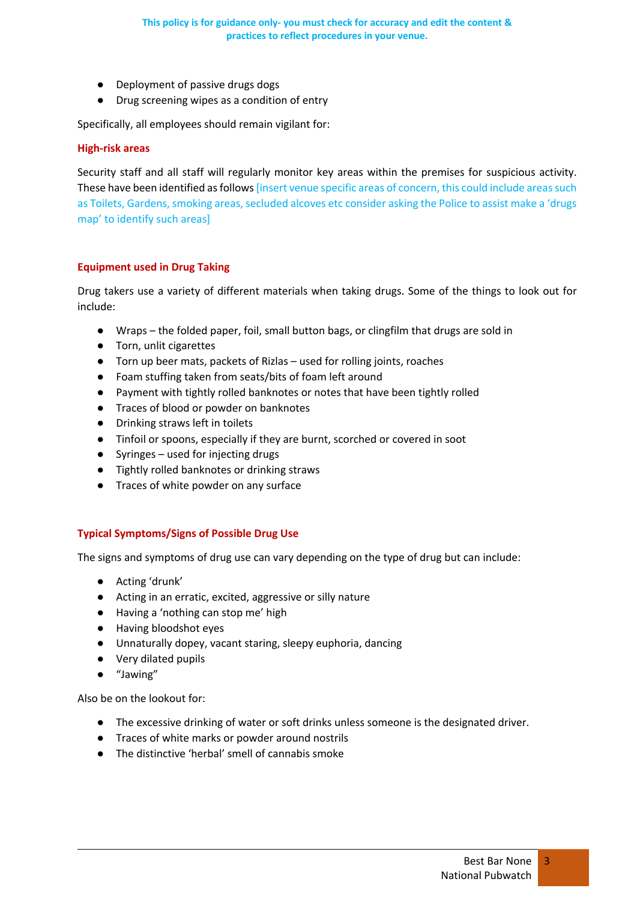- Deployment of passive drugs dogs
- Drug screening wipes as a condition of entry

Specifically, all employees should remain vigilant for:

### **High-risk areas**

Security staff and all staff will regularly monitor key areas within the premises for suspicious activity. These have been identified as follows [insert venue specific areas of concern, this could include areas such as Toilets, Gardens, smoking areas, secluded alcoves etc consider asking the Police to assist make a 'drugs map' to identify such areas]

## **Equipment used in Drug Taking**

Drug takers use a variety of different materials when taking drugs. Some of the things to look out for include:

- Wraps the folded paper, foil, small button bags, or clingfilm that drugs are sold in
- Torn, unlit cigarettes
- Torn up beer mats, packets of Rizlas used for rolling joints, roaches
- Foam stuffing taken from seats/bits of foam left around
- Payment with tightly rolled banknotes or notes that have been tightly rolled
- Traces of blood or powder on banknotes
- Drinking straws left in toilets
- Tinfoil or spoons, especially if they are burnt, scorched or covered in soot
- Syringes used for injecting drugs
- Tightly rolled banknotes or drinking straws
- Traces of white powder on any surface

### **Typical Symptoms/Signs of Possible Drug Use**

The signs and symptoms of drug use can vary depending on the type of drug but can include:

- Acting 'drunk'
- Acting in an erratic, excited, aggressive or silly nature
- Having a 'nothing can stop me' high
- Having bloodshot eyes
- Unnaturally dopey, vacant staring, sleepy euphoria, dancing
- Very dilated pupils
- "Jawing"

Also be on the lookout for:

- The excessive drinking of water or soft drinks unless someone is the designated driver.
- Traces of white marks or powder around nostrils
- The distinctive 'herbal' smell of cannabis smoke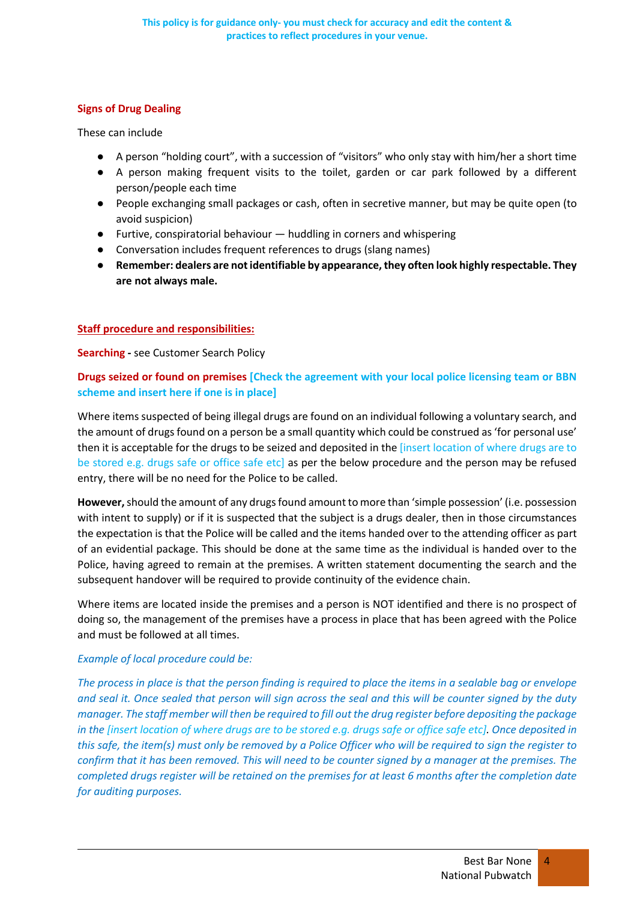# **Signs of Drug Dealing**

These can include

- A person "holding court", with a succession of "visitors" who only stay with him/her a short time
- A person making frequent visits to the toilet, garden or car park followed by a different person/people each time
- People exchanging small packages or cash, often in secretive manner, but may be quite open (to avoid suspicion)
- Furtive, conspiratorial behaviour huddling in corners and whispering
- Conversation includes frequent references to drugs (slang names)
- **Remember: dealers are not identifiable by appearance, they often look highly respectable. They are not always male.**

# **Staff procedure and responsibilities:**

**Searching -** see Customer Search Policy

# **Drugs seized or found on premises [Check the agreement with your local police licensing team or BBN scheme and insert here if one is in place]**

Where items suspected of being illegal drugs are found on an individual following a voluntary search, and the amount of drugs found on a person be a small quantity which could be construed as 'for personal use' then it is acceptable for the drugs to be seized and deposited in the [insert location of where drugs are to be stored e.g. drugs safe or office safe etc] as per the below procedure and the person may be refused entry, there will be no need for the Police to be called.

**However,**should the amount of any drugs found amount to more than 'simple possession' (i.e. possession with intent to supply) or if it is suspected that the subject is a drugs dealer, then in those circumstances the expectation is that the Police will be called and the items handed over to the attending officer as part of an evidential package. This should be done at the same time as the individual is handed over to the Police, having agreed to remain at the premises. A written statement documenting the search and the subsequent handover will be required to provide continuity of the evidence chain.

Where items are located inside the premises and a person is NOT identified and there is no prospect of doing so, the management of the premises have a process in place that has been agreed with the Police and must be followed at all times.

# *Example of local procedure could be:*

*The process in place is that the person finding is required to place the items in a sealable bag or envelope and seal it. Once sealed that person will sign across the seal and this will be counter signed by the duty manager. The staff member will then be required to fill out the drug register before depositing the package in the [insert location of where drugs are to be stored e.g. drugs safe or office safe etc]. Once deposited in this safe, the item(s) must only be removed by a Police Officer who will be required to sign the register to confirm that it has been removed. This will need to be counter signed by a manager at the premises. The completed drugs register will be retained on the premises for at least 6 months after the completion date for auditing purposes.*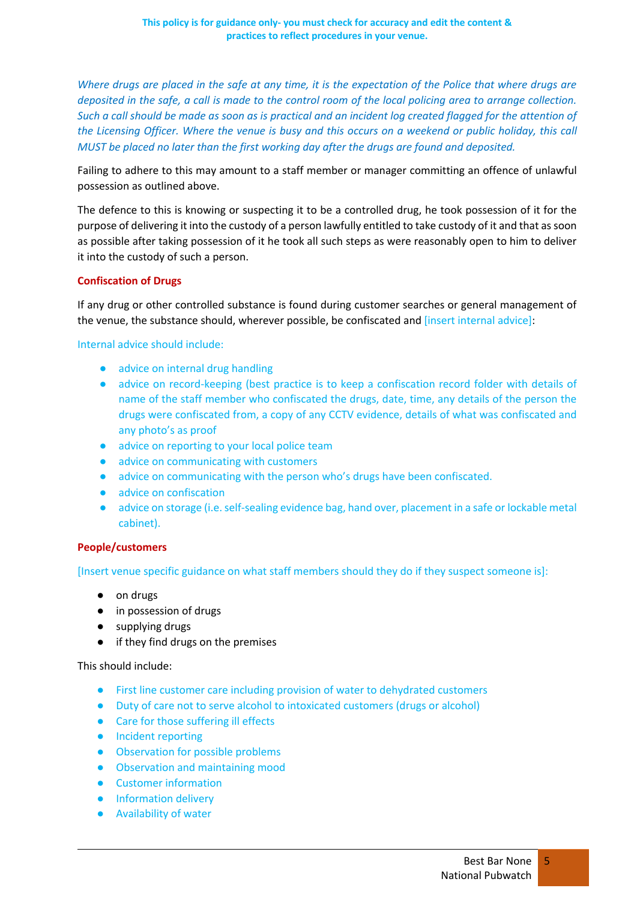*Where drugs are placed in the safe at any time, it is the expectation of the Police that where drugs are deposited in the safe, a call is made to the control room of the local policing area to arrange collection. Such a call should be made as soon as is practical and an incident log created flagged for the attention of the Licensing Officer. Where the venue is busy and this occurs on a weekend or public holiday, this call MUST be placed no later than the first working day after the drugs are found and deposited.* 

Failing to adhere to this may amount to a staff member or manager committing an offence of unlawful possession as outlined above.

The defence to this is knowing or suspecting it to be a controlled drug, he took possession of it for the purpose of delivering it into the custody of a person lawfully entitled to take custody of it and that as soon as possible after taking possession of it he took all such steps as were reasonably open to him to deliver it into the custody of such a person.

## **Confiscation of Drugs**

If any drug or other controlled substance is found during customer searches or general management of the venue, the substance should, wherever possible, be confiscated and [insert internal advice]:

Internal advice should include:

- advice on internal drug handling
- advice on record-keeping (best practice is to keep a confiscation record folder with details of name of the staff member who confiscated the drugs, date, time, any details of the person the drugs were confiscated from, a copy of any CCTV evidence, details of what was confiscated and any photo's as proof
- advice on reporting to your local police team
- advice on communicating with customers
- advice on communicating with the person who's drugs have been confiscated.
- advice on confiscation
- advice on storage (i.e. self-sealing evidence bag, hand over, placement in a safe or lockable metal cabinet).

### **People/customers**

[Insert venue specific guidance on what staff members should they do if they suspect someone is]:

- on drugs
- in possession of drugs
- supplying drugs
- if they find drugs on the premises

This should include:

- First line customer care including provision of water to dehydrated customers
- Duty of care not to serve alcohol to intoxicated customers (drugs or alcohol)
- Care for those suffering ill effects
- Incident reporting
- Observation for possible problems
- Observation and maintaining mood
- Customer information
- **•** Information delivery
- Availability of water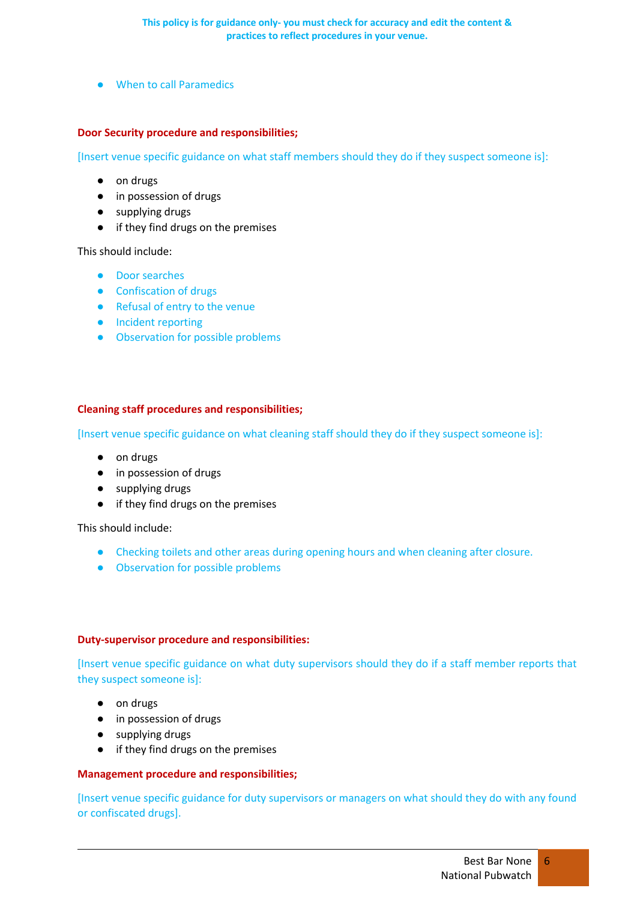● When to call Paramedics

## **Door Security procedure and responsibilities;**

[Insert venue specific guidance on what staff members should they do if they suspect someone is]:

- on drugs
- in possession of drugs
- supplying drugs
- if they find drugs on the premises

This should include:

- Door searches
- Confiscation of drugs
- Refusal of entry to the venue
- Incident reporting
- Observation for possible problems

## **Cleaning staff procedures and responsibilities;**

[Insert venue specific guidance on what cleaning staff should they do if they suspect someone is]:

- on drugs
- in possession of drugs
- supplying drugs
- if they find drugs on the premises

This should include:

- Checking toilets and other areas during opening hours and when cleaning after closure.
- Observation for possible problems

### **Duty-supervisor procedure and responsibilities:**

[Insert venue specific guidance on what duty supervisors should they do if a staff member reports that they suspect someone is]:

- on drugs
- in possession of drugs
- supplying drugs
- if they find drugs on the premises

### **Management procedure and responsibilities;**

[Insert venue specific guidance for duty supervisors or managers on what should they do with any found or confiscated drugs].